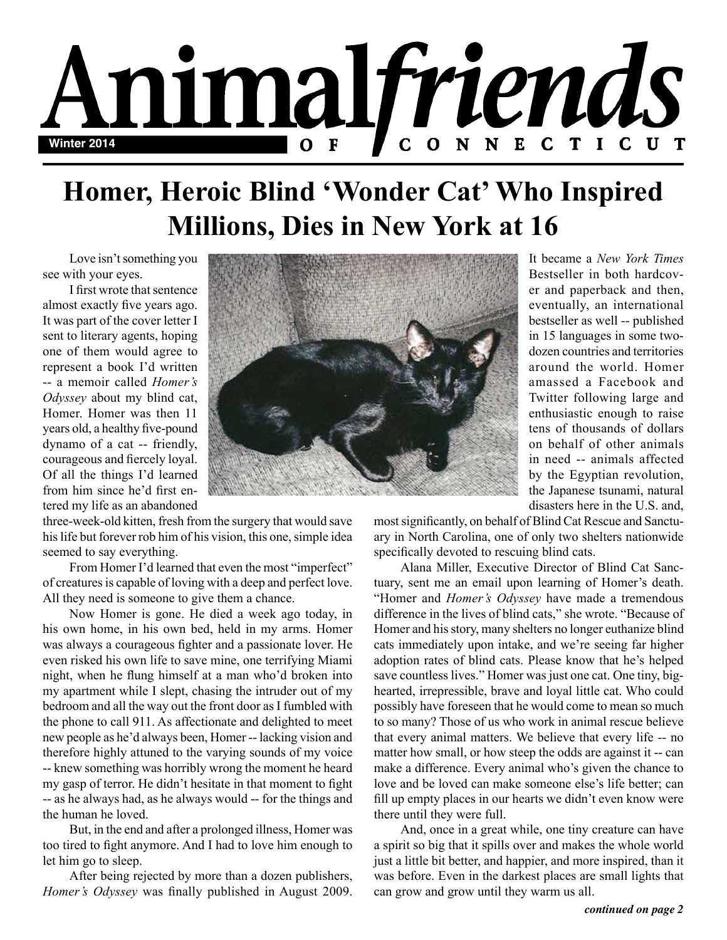

## **Homer, Heroic Blind 'Wonder Cat' Who Inspired Millions, Dies in New York at 16**

Love isn't something you see with your eyes.

I first wrote that sentence almost exactly five years ago. It was part of the cover letter I sent to literary agents, hoping one of them would agree to represent a book I'd written -- a memoir called *Homer's Odyssey* about my blind cat, Homer. Homer was then 11 years old, a healthy five-pound dynamo of a cat -- friendly, courageous and fiercely loyal. Of all the things I'd learned from him since he'd first entered my life as an abandoned



three-week-old kitten, fresh from the surgery that would save his life but forever rob him of his vision, this one, simple idea seemed to say everything.

From Homer I'd learned that even the most "imperfect" of creatures is capable of loving with a deep and perfect love. All they need is someone to give them a chance.

Now Homer is gone. He died a week ago today, in his own home, in his own bed, held in my arms. Homer was always a courageous fighter and a passionate lover. He even risked his own life to save mine, one terrifying Miami night, when he flung himself at a man who'd broken into my apartment while I slept, chasing the intruder out of my bedroom and all the way out the front door as I fumbled with the phone to call 911. As affectionate and delighted to meet new people as he'd always been, Homer -- lacking vision and therefore highly attuned to the varying sounds of my voice -- knew something was horribly wrong the moment he heard my gasp of terror. He didn't hesitate in that moment to fight -- as he always had, as he always would -- for the things and the human he loved.

But, in the end and after a prolonged illness, Homer was too tired to fight anymore. And I had to love him enough to let him go to sleep.

After being rejected by more than a dozen publishers, *Homer's Odyssey* was finally published in August 2009. It became a *New York Times* Bestseller in both hardcover and paperback and then, eventually, an international bestseller as well -- published in 15 languages in some twodozen countries and territories around the world. Homer amassed a Facebook and Twitter following large and enthusiastic enough to raise tens of thousands of dollars on behalf of other animals in need -- animals affected by the Egyptian revolution, the Japanese tsunami, natural disasters here in the U.S. and,

most significantly, on behalf of Blind Cat Rescue and Sanctuary in North Carolina, one of only two shelters nationwide specifically devoted to rescuing blind cats.

Alana Miller, Executive Director of Blind Cat Sanctuary, sent me an email upon learning of Homer's death. "Homer and *Homer's Odyssey* have made a tremendous difference in the lives of blind cats," she wrote. "Because of Homer and his story, many shelters no longer euthanize blind cats immediately upon intake, and we're seeing far higher adoption rates of blind cats. Please know that he's helped save countless lives." Homer was just one cat. One tiny, bighearted, irrepressible, brave and loyal little cat. Who could possibly have foreseen that he would come to mean so much to so many? Those of us who work in animal rescue believe that every animal matters. We believe that every life -- no matter how small, or how steep the odds are against it -- can make a difference. Every animal who's given the chance to love and be loved can make someone else's life better; can fill up empty places in our hearts we didn't even know were there until they were full.

And, once in a great while, one tiny creature can have a spirit so big that it spills over and makes the whole world just a little bit better, and happier, and more inspired, than it was before. Even in the darkest places are small lights that can grow and grow until they warm us all.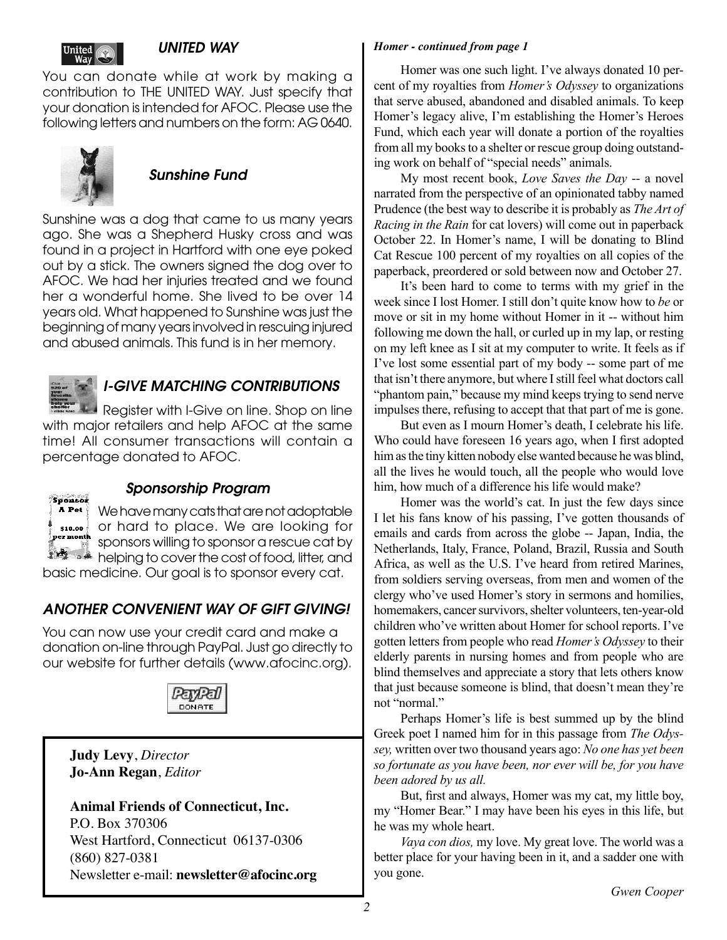

#### *UNITED WAY*

You can donate while at work by making a contribution to THE UNITED WAY. Just specify that your donation is intended for AFOC. Please use the following letters and numbers on the form: AG 0640.



### *Sunshine Fund*

Sunshine was a dog that came to us many years ago. She was a Shepherd Husky cross and was found in a project in Hartford with one eye poked out by a stick. The owners signed the dog over to AFOC. We had her injuries treated and we found her a wonderful home. She lived to be over 14 years old. What happened to Sunshine was just the beginning of many years involved in rescuing injured and abused animals. This fund is in her memory.



### *I-GIVE MATCHING CONTRIBUTIONS*

Register with I-Give on line. Shop on line with major retailers and help AFOC at the same time! All consumer transactions will contain a percentage donated to AFOC.



### *Sponsorship Program*

We have many cats that are not adoptable or hard to place. We are looking for sponsors willing to sponsor a rescue cat by helping to cover the cost of food, litter, and basic medicine. Our goal is to sponsor every cat.

*ANOTHER CONVENIENT WAY OF GIFT GIVING!*

You can now use your credit card and make a donation on-line through PayPal. Just go directly to our website for further details (www.afocinc.org).



#### **Judy Levy**, *Director* **Jo-Ann Regan**, *Editor*

**Animal Friends of Connecticut, Inc.** P.O. Box 370306 West Hartford, Connecticut 06137-0306 (860) 827-0381 Newsletter e-mail: **newsletter@afocinc.org**

#### *Homer - continued from page 1*

Homer was one such light. I've always donated 10 percent of my royalties from *Homer's Odyssey* to organizations that serve abused, abandoned and disabled animals. To keep Homer's legacy alive, I'm establishing the Homer's Heroes Fund, which each year will donate a portion of the royalties from all my books to a shelter or rescue group doing outstanding work on behalf of "special needs" animals.

My most recent book, *Love Saves the Day* -- a novel narrated from the perspective of an opinionated tabby named Prudence (the best way to describe it is probably as *The Art of Racing in the Rain* for cat lovers) will come out in paperback October 22. In Homer's name, I will be donating to Blind Cat Rescue 100 percent of my royalties on all copies of the paperback, preordered or sold between now and October 27.

It's been hard to come to terms with my grief in the week since I lost Homer. I still don't quite know how to *be* or move or sit in my home without Homer in it -- without him following me down the hall, or curled up in my lap, or resting on my left knee as I sit at my computer to write. It feels as if I've lost some essential part of my body -- some part of me that isn't there anymore, but where I still feel what doctors call "phantom pain," because my mind keeps trying to send nerve impulses there, refusing to accept that that part of me is gone.

But even as I mourn Homer's death, I celebrate his life. Who could have foreseen 16 years ago, when I first adopted him as the tiny kitten nobody else wanted because he was blind, all the lives he would touch, all the people who would love him, how much of a difference his life would make?

Homer was the world's cat. In just the few days since I let his fans know of his passing, I've gotten thousands of emails and cards from across the globe -- Japan, India, the Netherlands, Italy, France, Poland, Brazil, Russia and South Africa, as well as the U.S. I've heard from retired Marines, from soldiers serving overseas, from men and women of the clergy who've used Homer's story in sermons and homilies, homemakers, cancer survivors, shelter volunteers, ten-year-old children who've written about Homer for school reports. I've gotten letters from people who read *Homer's Odyssey* to their elderly parents in nursing homes and from people who are blind themselves and appreciate a story that lets others know that just because someone is blind, that doesn't mean they're not "normal."

Perhaps Homer's life is best summed up by the blind Greek poet I named him for in this passage from *The Odyssey,* written over two thousand years ago: *No one has yet been so fortunate as you have been, nor ever will be, for you have been adored by us all.*

But, first and always, Homer was my cat, my little boy, my "Homer Bear." I may have been his eyes in this life, but he was my whole heart.

*Vaya con dios,* my love. My great love. The world was a better place for your having been in it, and a sadder one with you gone.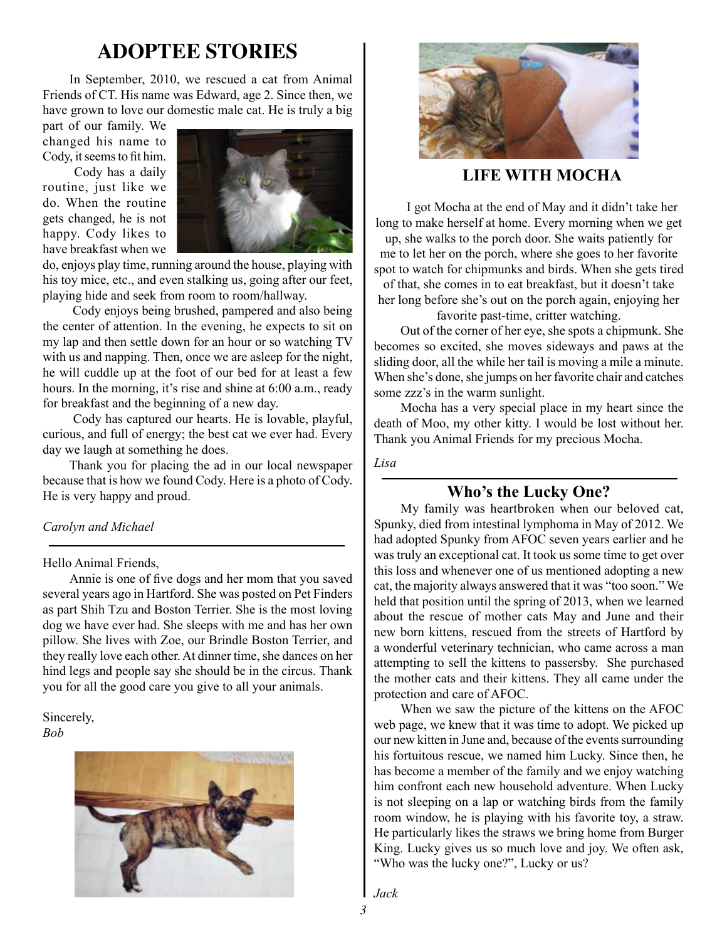## **ADOPTEE STORIES**

In September, 2010, we rescued a cat from Animal Friends of CT. His name was Edward, age 2. Since then, we have grown to love our domestic male cat. He is truly a big

part of our family. We changed his name to Cody, it seems to fit him.

Cody has a daily routine, just like we do. When the routine gets changed, he is not happy. Cody likes to have breakfast when we



do, enjoys play time, running around the house, playing with his toy mice, etc., and even stalking us, going after our feet, playing hide and seek from room to room/hallway.

Cody enjoys being brushed, pampered and also being the center of attention. In the evening, he expects to sit on my lap and then settle down for an hour or so watching TV with us and napping. Then, once we are asleep for the night, he will cuddle up at the foot of our bed for at least a few hours. In the morning, it's rise and shine at 6:00 a.m., ready for breakfast and the beginning of a new day.

Cody has captured our hearts. He is lovable, playful, curious, and full of energy; the best cat we ever had. Every day we laugh at something he does.

Thank you for placing the ad in our local newspaper because that is how we found Cody. Here is a photo of Cody. He is very happy and proud.

#### *Carolyn and Michael*

Hello Animal Friends,

Annie is one of five dogs and her mom that you saved several years ago in Hartford. She was posted on Pet Finders as part Shih Tzu and Boston Terrier. She is the most loving dog we have ever had. She sleeps with me and has her own pillow. She lives with Zoe, our Brindle Boston Terrier, and they really love each other. At dinner time, she dances on her hind legs and people say she should be in the circus. Thank you for all the good care you give to all your animals.

Sincerely, *Bob*





**LIFE WITH MOCHA**

I got Mocha at the end of May and it didn't take her long to make herself at home. Every morning when we get up, she walks to the porch door. She waits patiently for me to let her on the porch, where she goes to her favorite spot to watch for chipmunks and birds. When she gets tired of that, she comes in to eat breakfast, but it doesn't take her long before she's out on the porch again, enjoying her

favorite past-time, critter watching.

Out of the corner of her eye, she spots a chipmunk. She becomes so excited, she moves sideways and paws at the sliding door, all the while her tail is moving a mile a minute. When she's done, she jumps on her favorite chair and catches some zzz's in the warm sunlight.

Mocha has a very special place in my heart since the death of Moo, my other kitty. I would be lost without her. Thank you Animal Friends for my precious Mocha.

*Lisa*

#### **Who's the Lucky One?**

My family was heartbroken when our beloved cat, Spunky, died from intestinal lymphoma in May of 2012. We had adopted Spunky from AFOC seven years earlier and he was truly an exceptional cat. It took us some time to get over this loss and whenever one of us mentioned adopting a new cat, the majority always answered that it was "too soon." We held that position until the spring of 2013, when we learned about the rescue of mother cats May and June and their new born kittens, rescued from the streets of Hartford by a wonderful veterinary technician, who came across a man attempting to sell the kittens to passersby. She purchased the mother cats and their kittens. They all came under the protection and care of AFOC.

When we saw the picture of the kittens on the AFOC web page, we knew that it was time to adopt. We picked up our new kitten in June and, because of the events surrounding his fortuitous rescue, we named him Lucky. Since then, he has become a member of the family and we enjoy watching him confront each new household adventure. When Lucky is not sleeping on a lap or watching birds from the family room window, he is playing with his favorite toy, a straw. He particularly likes the straws we bring home from Burger King. Lucky gives us so much love and joy. We often ask, "Who was the lucky one?", Lucky or us?

*Jack*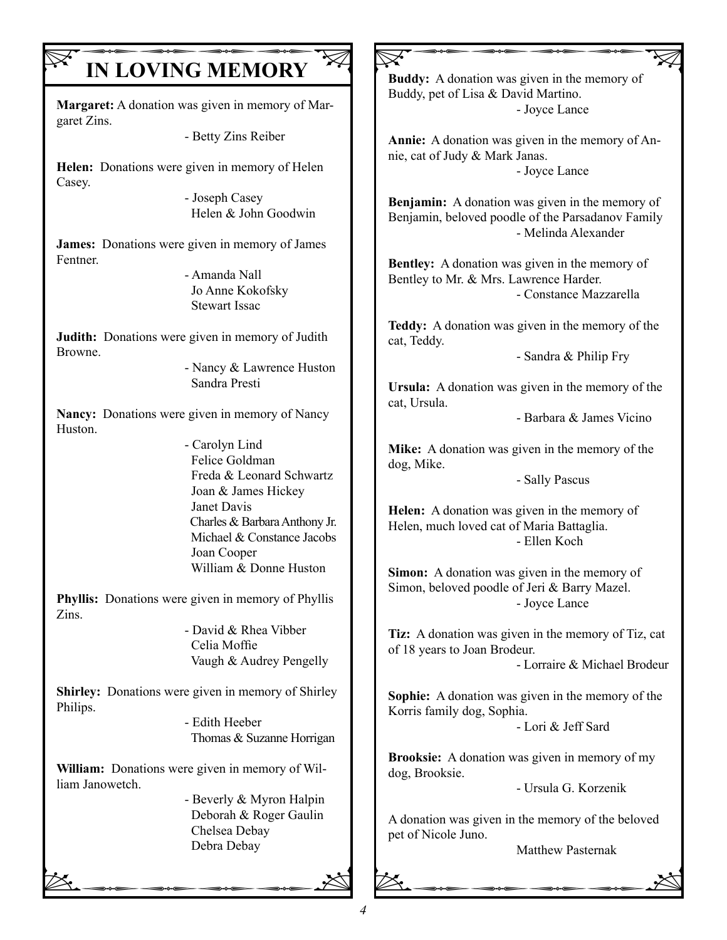## **IN LOVING MEMORY**

**Margaret:** A donation was given in memory of Margaret Zins.

- Betty Zins Reiber

**Helen:** Donations were given in memory of Helen Casey.

- Joseph Casey Helen & John Goodwin

**James:** Donations were given in memory of James Fentner.

- Amanda Nall Jo Anne Kokofsky Stewart Issac

**Judith:** Donations were given in memory of Judith Browne.

- Nancy & Lawrence Huston Sandra Presti

**Nancy:** Donations were given in memory of Nancy Huston.

- Carolyn Lind Felice Goldman Freda & Leonard Schwartz Joan & James Hickey Janet Davis Charles & Barbara Anthony Jr. Michael & Constance Jacobs Joan Cooper William & Donne Huston

**Phyllis:** Donations were given in memory of Phyllis Zins.

> - David & Rhea Vibber Celia Moffie Vaugh & Audrey Pengelly

**Shirley:** Donations were given in memory of Shirley Philips.

- Edith Heeber Thomas & Suzanne Horrigan

**William:** Donations were given in memory of William Janowetch.

Debra Debay<br>Debra Debay - Beverly & Myron Halpin Deborah & Roger Gaulin Chelsea Debay Debra Debay

 $\nabla$ **Buddy:** A donation was given in the memory of Buddy, pet of Lisa & David Martino. - Joyce Lance

**Annie:** A donation was given in the memory of Annie, cat of Judy & Mark Janas. - Joyce Lance

**Benjamin:** A donation was given in the memory of Benjamin, beloved poodle of the Parsadanov Family - Melinda Alexander

**Bentley:** A donation was given in the memory of Bentley to Mr. & Mrs. Lawrence Harder. - Constance Mazzarella

**Teddy:** A donation was given in the memory of the cat, Teddy.

- Sandra & Philip Fry

**Ursula:** A donation was given in the memory of the cat, Ursula.

- Barbara & James Vicino

**Mike:** A donation was given in the memory of the dog, Mike.

- Sally Pascus

**Helen:** A donation was given in the memory of Helen, much loved cat of Maria Battaglia. - Ellen Koch

**Simon:** A donation was given in the memory of Simon, beloved poodle of Jeri & Barry Mazel. - Joyce Lance

**Tiz:** A donation was given in the memory of Tiz, cat of 18 years to Joan Brodeur.

- Lorraire & Michael Brodeur

**Sophie:** A donation was given in the memory of the Korris family dog, Sophia.

- Lori & Jeff Sard

**Brooksie:** A donation was given in memory of my dog, Brooksie.

- Ursula G. Korzenik

pet of Nicole Juno.<br>Matthew Pasternak A donation was given in the memory of the beloved pet of Nicole Juno.

Matthew Pasternak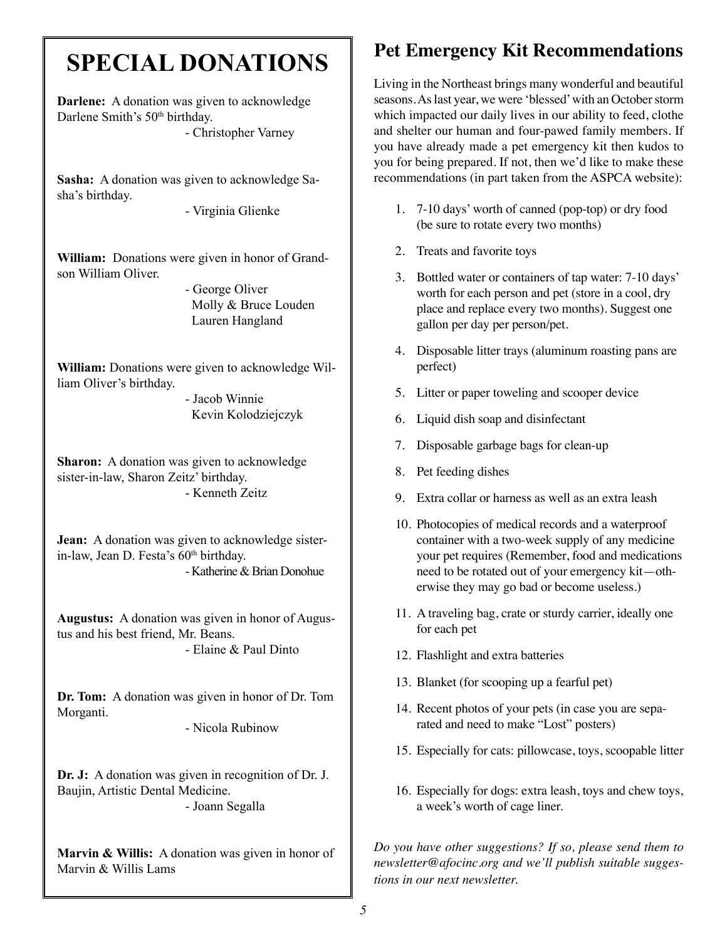## **SPECIAL DONATIONS**

**Darlene:** A donation was given to acknowledge Darlene Smith's 50<sup>th</sup> birthday. - Christopher Varney

**Sasha:** A donation was given to acknowledge Sasha's birthday.

- Virginia Glienke

**William:** Donations were given in honor of Grandson William Oliver.

> - George Oliver Molly & Bruce Louden Lauren Hangland

**William:** Donations were given to acknowledge William Oliver's birthday.

> - Jacob Winnie Kevin Kolodziejczyk

**Sharon:** A donation was given to acknowledge sister-in-law, Sharon Zeitz' birthday. - Kenneth Zeitz

**Jean:** A donation was given to acknowledge sisterin-law, Jean D. Festa's 60<sup>th</sup> birthday. - Katherine & Brian Donohue

**Augustus:** A donation was given in honor of Augustus and his best friend, Mr. Beans. - Elaine & Paul Dinto

**Dr. Tom:** A donation was given in honor of Dr. Tom Morganti.

- Nicola Rubinow

**Dr. J:** A donation was given in recognition of Dr. J. Baujin, Artistic Dental Medicine. - Joann Segalla

**Marvin & Willis:** A donation was given in honor of Marvin & Willis Lams

## **Pet Emergency Kit Recommendations**

Living in the Northeast brings many wonderful and beautiful seasons. As last year, we were 'blessed' with an October storm which impacted our daily lives in our ability to feed, clothe and shelter our human and four-pawed family members. If you have already made a pet emergency kit then kudos to you for being prepared. If not, then we'd like to make these recommendations (in part taken from the ASPCA website):

- 1. 7-10 days' worth of canned (pop-top) or dry food (be sure to rotate every two months)
- 2. Treats and favorite toys
- 3. Bottled water or containers of tap water: 7-10 days' worth for each person and pet (store in a cool, dry place and replace every two months). Suggest one gallon per day per person/pet.
- 4. Disposable litter trays (aluminum roasting pans are perfect)
- 5. Litter or paper toweling and scooper device
- 6. Liquid dish soap and disinfectant
- 7. Disposable garbage bags for clean-up
- 8. Pet feeding dishes
- 9. Extra collar or harness as well as an extra leash
- 10. Photocopies of medical records and a waterproof container with a two-week supply of any medicine your pet requires (Remember, food and medications need to be rotated out of your emergency kit—otherwise they may go bad or become useless.)
- 11. A traveling bag, crate or sturdy carrier, ideally one for each pet
- 12. Flashlight and extra batteries
- 13. Blanket (for scooping up a fearful pet)
- 14. Recent photos of your pets (in case you are separated and need to make "Lost" posters)
- 15. Especially for cats: pillowcase, toys, scoopable litter
- 16. Especially for dogs: extra leash, toys and chew toys, a week's worth of cage liner.

*Do you have other suggestions? If so, please send them to newsletter@afocinc.org and we'll publish suitable suggestions in our next newsletter.*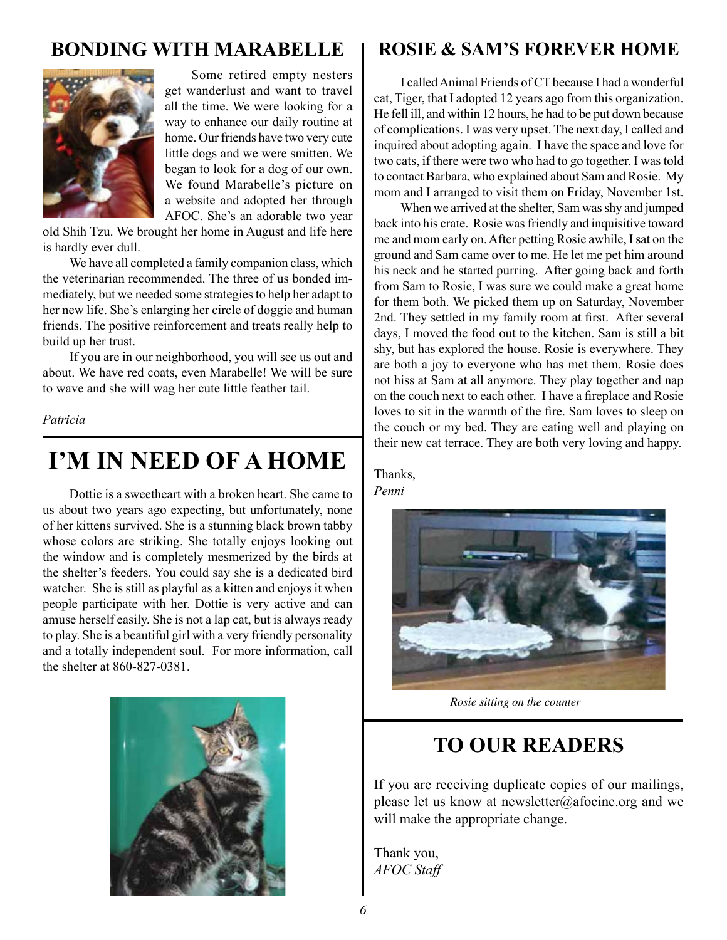## **BONDING WITH MARABELLE**



Some retired empty nesters get wanderlust and want to travel all the time. We were looking for a way to enhance our daily routine at home. Our friends have two very cute little dogs and we were smitten. We began to look for a dog of our own. We found Marabelle's picture on a website and adopted her through AFOC. She's an adorable two year

old Shih Tzu. We brought her home in August and life here is hardly ever dull.

We have all completed a family companion class, which the veterinarian recommended. The three of us bonded immediately, but we needed some strategies to help her adapt to her new life. She's enlarging her circle of doggie and human friends. The positive reinforcement and treats really help to build up her trust.

If you are in our neighborhood, you will see us out and about. We have red coats, even Marabelle! We will be sure to wave and she will wag her cute little feather tail.

*Patricia* 

## **I'M IN NEED OF A HOME**

Dottie is a sweetheart with a broken heart. She came to us about two years ago expecting, but unfortunately, none of her kittens survived. She is a stunning black brown tabby whose colors are striking. She totally enjoys looking out the window and is completely mesmerized by the birds at the shelter's feeders. You could say she is a dedicated bird watcher. She is still as playful as a kitten and enjoys it when people participate with her. Dottie is very active and can amuse herself easily. She is not a lap cat, but is always ready to play. She is a beautiful girl with a very friendly personality and a totally independent soul. For more information, call the shelter at 860-827-0381.



## **ROSIE & SAM'S FOREVER HOME**

I called Animal Friends of CT because I had a wonderful cat, Tiger, that I adopted 12 years ago from this organization. He fell ill, and within 12 hours, he had to be put down because of complications. I was very upset. The next day, I called and inquired about adopting again. I have the space and love for two cats, if there were two who had to go together. I was told to contact Barbara, who explained about Sam and Rosie. My mom and I arranged to visit them on Friday, November 1st.

When we arrived at the shelter, Sam was shy and jumped back into his crate. Rosie was friendly and inquisitive toward me and mom early on. After petting Rosie awhile, I sat on the ground and Sam came over to me. He let me pet him around his neck and he started purring. After going back and forth from Sam to Rosie, I was sure we could make a great home for them both. We picked them up on Saturday, November 2nd. They settled in my family room at first. After several days, I moved the food out to the kitchen. Sam is still a bit shy, but has explored the house. Rosie is everywhere. They are both a joy to everyone who has met them. Rosie does not hiss at Sam at all anymore. They play together and nap on the couch next to each other. I have a fireplace and Rosie loves to sit in the warmth of the fire. Sam loves to sleep on the couch or my bed. They are eating well and playing on their new cat terrace. They are both very loving and happy.

Thanks,

*Penni*



*Rosie sitting on the counter*

## **TO OUR READERS**

If you are receiving duplicate copies of our mailings, please let us know at newsletter@afocinc.org and we will make the appropriate change.

Thank you, *AFOC Staff*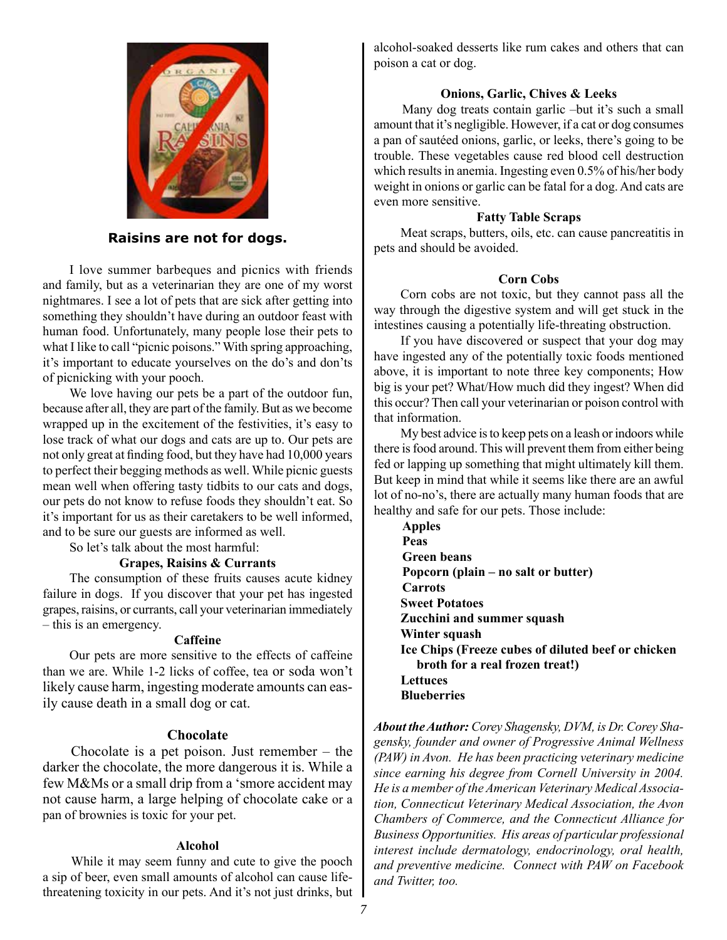

#### **Raisins are not for dogs.**

I love summer barbeques and picnics with friends and family, but as a veterinarian they are one of my worst nightmares. I see a lot of pets that are sick after getting into something they shouldn't have during an outdoor feast with human food. Unfortunately, many people lose their pets to what I like to call "picnic poisons." With spring approaching, it's important to educate yourselves on the do's and don'ts of picnicking with your pooch.

We love having our pets be a part of the outdoor fun, because after all, they are part of the family. But as we become wrapped up in the excitement of the festivities, it's easy to lose track of what our dogs and cats are up to. Our pets are not only great at finding food, but they have had 10,000 years to perfect their begging methods as well. While picnic guests mean well when offering tasty tidbits to our cats and dogs, our pets do not know to refuse foods they shouldn't eat. So it's important for us as their caretakers to be well informed, and to be sure our guests are informed as well.

So let's talk about the most harmful:

#### **Grapes, Raisins & Currants**

The consumption of these fruits causes acute kidney failure in dogs. If you discover that your pet has ingested grapes, raisins, or currants, call your veterinarian immediately – this is an emergency.

#### **Caffeine**

Our pets are more sensitive to the effects of caffeine than we are. While 1-2 licks of coffee, tea or soda won't likely cause harm, ingesting moderate amounts can easily cause death in a small dog or cat.

#### **Chocolate**

Chocolate is a pet poison. Just remember – the darker the chocolate, the more dangerous it is. While a few M&Ms or a small drip from a 'smore accident may not cause harm, a large helping of chocolate cake or a pan of brownies is toxic for your pet.

#### **Alcohol**

While it may seem funny and cute to give the pooch a sip of beer, even small amounts of alcohol can cause lifethreatening toxicity in our pets. And it's not just drinks, but alcohol-soaked desserts like rum cakes and others that can poison a cat or dog.

#### **Onions, Garlic, Chives & Leeks**

Many dog treats contain garlic –but it's such a small amount that it's negligible. However, if a cat or dog consumes a pan of sautéed onions, garlic, or leeks, there's going to be trouble. These vegetables cause red blood cell destruction which results in anemia. Ingesting even 0.5% of his/her body weight in onions or garlic can be fatal for a dog. And cats are even more sensitive.

#### **Fatty Table Scraps**

Meat scraps, butters, oils, etc. can cause pancreatitis in pets and should be avoided.

#### **Corn Cobs**

Corn cobs are not toxic, but they cannot pass all the way through the digestive system and will get stuck in the intestines causing a potentially life-threating obstruction.

If you have discovered or suspect that your dog may have ingested any of the potentially toxic foods mentioned above, it is important to note three key components; How big is your pet? What/How much did they ingest? When did this occur? Then call your veterinarian or poison control with that information.

My best advice is to keep pets on a leash or indoors while there is food around. This will prevent them from either being fed or lapping up something that might ultimately kill them. But keep in mind that while it seems like there are an awful lot of no-no's, there are actually many human foods that are healthy and safe for our pets. Those include:

**Apples Peas Green beans Popcorn (plain – no salt or butter) Carrots Sweet Potatoes Zucchini and summer squash Winter squash Ice Chips (Freeze cubes of diluted beef or chicken broth for a real frozen treat!) Lettuces Blueberries**

*About the Author: Corey Shagensky, DVM, is Dr. Corey Shagensky, founder and owner of Progressive Animal Wellness (PAW) in Avon. He has been practicing veterinary medicine since earning his degree from Cornell University in 2004. He is a member of the American Veterinary Medical Association, Connecticut Veterinary Medical Association, the Avon Chambers of Commerce, and the Connecticut Alliance for Business Opportunities. His areas of particular professional interest include dermatology, endocrinology, oral health, and preventive medicine. Connect with PAW on Facebook and Twitter, too.*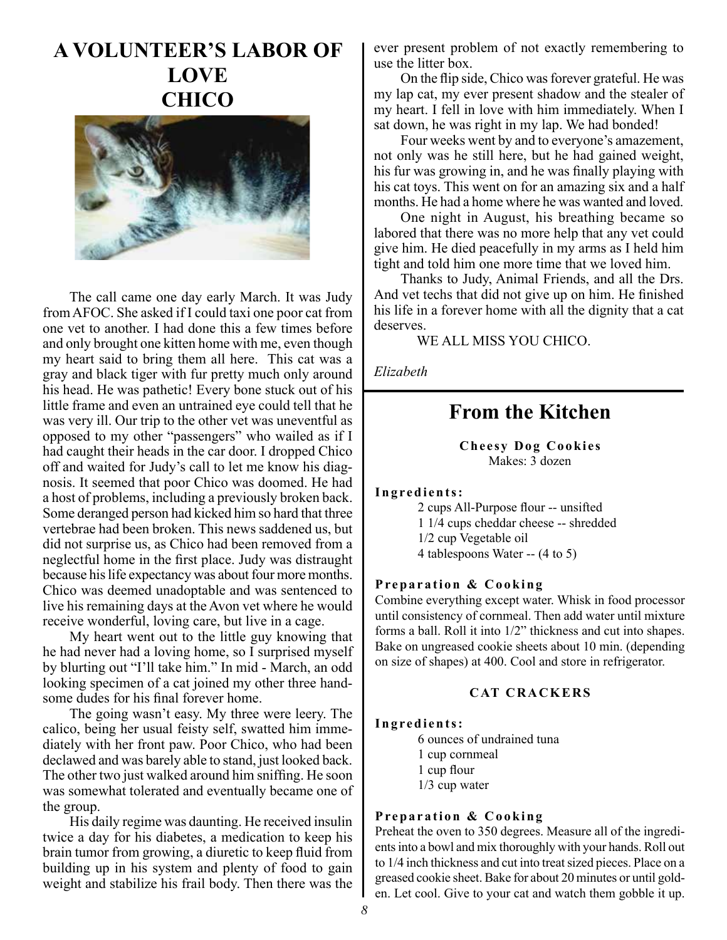## **A VOLUNTEER'S LABOR OF LOVE CHICO**



The call came one day early March. It was Judy from AFOC. She asked if I could taxi one poor cat from one vet to another. I had done this a few times before and only brought one kitten home with me, even though my heart said to bring them all here. This cat was a gray and black tiger with fur pretty much only around his head. He was pathetic! Every bone stuck out of his little frame and even an untrained eye could tell that he was very ill. Our trip to the other vet was uneventful as opposed to my other "passengers" who wailed as if I had caught their heads in the car door. I dropped Chico off and waited for Judy's call to let me know his diagnosis. It seemed that poor Chico was doomed. He had a host of problems, including a previously broken back. Some deranged person had kicked him so hard that three vertebrae had been broken. This news saddened us, but did not surprise us, as Chico had been removed from a neglectful home in the first place. Judy was distraught because his life expectancy was about four more months. Chico was deemed unadoptable and was sentenced to live his remaining days at the Avon vet where he would receive wonderful, loving care, but live in a cage.

My heart went out to the little guy knowing that he had never had a loving home, so I surprised myself by blurting out "I'll take him." In mid - March, an odd looking specimen of a cat joined my other three handsome dudes for his final forever home.

The going wasn't easy. My three were leery. The calico, being her usual feisty self, swatted him immediately with her front paw. Poor Chico, who had been declawed and was barely able to stand, just looked back. The other two just walked around him sniffing. He soon was somewhat tolerated and eventually became one of the group.

His daily regime was daunting. He received insulin twice a day for his diabetes, a medication to keep his brain tumor from growing, a diuretic to keep fluid from building up in his system and plenty of food to gain weight and stabilize his frail body. Then there was the ever present problem of not exactly remembering to use the litter box.

On the flip side, Chico was forever grateful. He was my lap cat, my ever present shadow and the stealer of my heart. I fell in love with him immediately. When I sat down, he was right in my lap. We had bonded!

Four weeks went by and to everyone's amazement, not only was he still here, but he had gained weight, his fur was growing in, and he was finally playing with his cat toys. This went on for an amazing six and a half months. He had a home where he was wanted and loved.

One night in August, his breathing became so labored that there was no more help that any vet could give him. He died peacefully in my arms as I held him tight and told him one more time that we loved him.

Thanks to Judy, Animal Friends, and all the Drs. And vet techs that did not give up on him. He finished his life in a forever home with all the dignity that a cat deserves.

WE ALL MISS YOU CHICO.

*Elizabeth*

## **From the Kitchen**

**Cheesy Dog Cookies**  Makes: 3 dozen

#### **Ingredients:**

2 cups All-Purpose flour -- unsifted 1 1/4 cups cheddar cheese -- shredded 1/2 cup Vegetable oil 4 tablespoons Water -- (4 to 5)

#### **Preparation & Cooking**

Combine everything except water. Whisk in food processor until consistency of cornmeal. Then add water until mixture forms a ball. Roll it into 1/2" thickness and cut into shapes. Bake on ungreased cookie sheets about 10 min. (depending on size of shapes) at 400. Cool and store in refrigerator.

#### **CAT CRACKERS**

#### **Ingredients:**

6 ounces of undrained tuna 1 cup cornmeal 1 cup flour 1/3 cup water

#### **Preparation & Cooking**

Preheat the oven to 350 degrees. Measure all of the ingredients into a bowl and mix thoroughly with your hands. Roll out to 1/4 inch thickness and cut into treat sized pieces. Place on a greased cookie sheet. Bake for about 20 minutes or until golden. Let cool. Give to your cat and watch them gobble it up.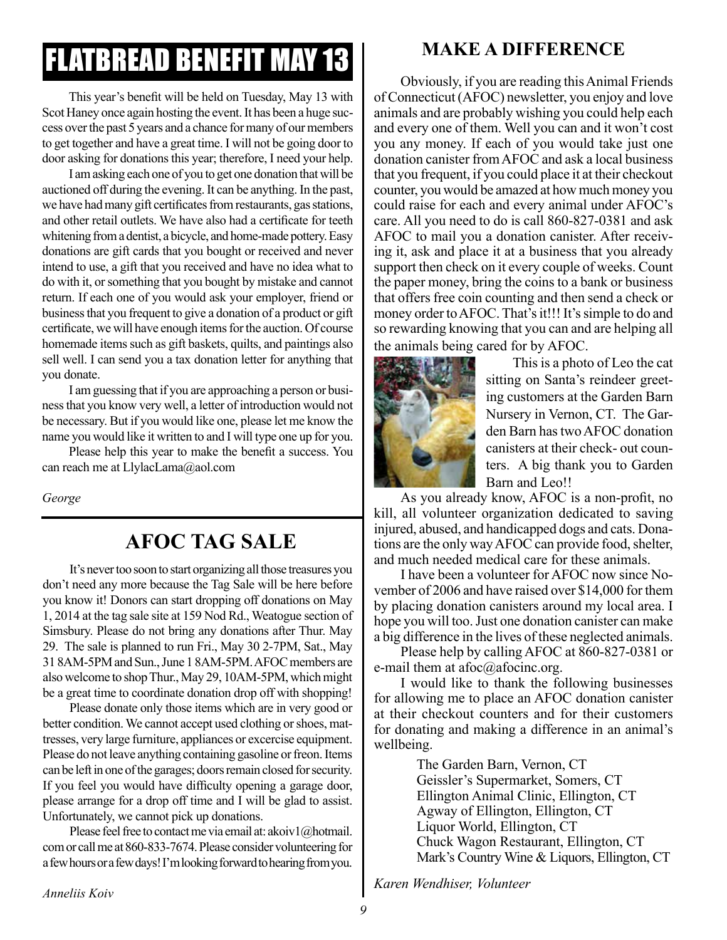# FLATBREAD BENEFIT MAY 13

This year's benefit will be held on Tuesday, May 13 with Scot Haney once again hosting the event. It has been a huge success over the past 5 years and a chance for many of our members to get together and have a great time. I will not be going door to door asking for donations this year; therefore, I need your help.

I am asking each one of you to get one donation that will be auctioned off during the evening. It can be anything. In the past, we have had many gift certificates from restaurants, gas stations, and other retail outlets. We have also had a certificate for teeth whitening from a dentist, a bicycle, and home-made pottery. Easy donations are gift cards that you bought or received and never intend to use, a gift that you received and have no idea what to do with it, or something that you bought by mistake and cannot return. If each one of you would ask your employer, friend or business that you frequent to give a donation of a product or gift certificate, we will have enough items for the auction. Of course homemade items such as gift baskets, quilts, and paintings also sell well. I can send you a tax donation letter for anything that you donate.

I am guessing that if you are approaching a person or business that you know very well, a letter of introduction would not be necessary. But if you would like one, please let me know the name you would like it written to and I will type one up for you.

Please help this year to make the benefit a success. You can reach me at LlylacLama@aol.com

*George*

## **AFOC TAG SALE**

It's never too soon to start organizing all those treasures you don't need any more because the Tag Sale will be here before you know it! Donors can start dropping off donations on May 1, 2014 at the tag sale site at 159 Nod Rd., Weatogue section of Simsbury. Please do not bring any donations after Thur. May 29. The sale is planned to run Fri., May 30 2-7PM, Sat., May 31 8AM-5PM and Sun., June 1 8AM-5PM. AFOC members are also welcome to shop Thur., May 29, 10AM-5PM, which might be a great time to coordinate donation drop off with shopping!

Please donate only those items which are in very good or better condition. We cannot accept used clothing or shoes, mattresses, very large furniture, appliances or excercise equipment. Please do not leave anything containing gasoline or freon. Items can be left in one of the garages; doors remain closed for security. If you feel you would have difficulty opening a garage door, please arrange for a drop off time and I will be glad to assist. Unfortunately, we cannot pick up donations.

Please feel free to contact me via email at: akoiv1@hotmail. com or call me at 860-833-7674. Please consider volunteering for a few hours or a few days! I'm looking forward to hearing from you.

### **MAKE A DIFFERENCE**

Obviously, if you are reading this Animal Friends of Connecticut (AFOC) newsletter, you enjoy and love animals and are probably wishing you could help each and every one of them. Well you can and it won't cost you any money. If each of you would take just one donation canister from AFOC and ask a local business that you frequent, if you could place it at their checkout counter, you would be amazed at how much money you could raise for each and every animal under AFOC's care. All you need to do is call 860-827-0381 and ask AFOC to mail you a donation canister. After receiving it, ask and place it at a business that you already support then check on it every couple of weeks. Count the paper money, bring the coins to a bank or business that offers free coin counting and then send a check or money order to AFOC. That's it!!! It's simple to do and so rewarding knowing that you can and are helping all the animals being cared for by AFOC.



This is a photo of Leo the cat sitting on Santa's reindeer greeting customers at the Garden Barn Nursery in Vernon, CT. The Garden Barn has two AFOC donation canisters at their check- out counters. A big thank you to Garden Barn and Leo!!

As you already know, AFOC is a non-profit, no kill, all volunteer organization dedicated to saving injured, abused, and handicapped dogs and cats. Donations are the only way AFOC can provide food, shelter, and much needed medical care for these animals.

I have been a volunteer for AFOC now since November of 2006 and have raised over \$14,000 for them by placing donation canisters around my local area. I hope you will too. Just one donation canister can make a big difference in the lives of these neglected animals.

Please help by calling AFOC at 860-827-0381 or e-mail them at afoc@afocinc.org.

I would like to thank the following businesses for allowing me to place an AFOC donation canister at their checkout counters and for their customers for donating and making a difference in an animal's wellbeing.

> The Garden Barn, Vernon, CT Geissler's Supermarket, Somers, CT Ellington Animal Clinic, Ellington, CT Agway of Ellington, Ellington, CT Liquor World, Ellington, CT Chuck Wagon Restaurant, Ellington, CT Mark's Country Wine & Liquors, Ellington, CT

*Karen Wendhiser, Volunteer*